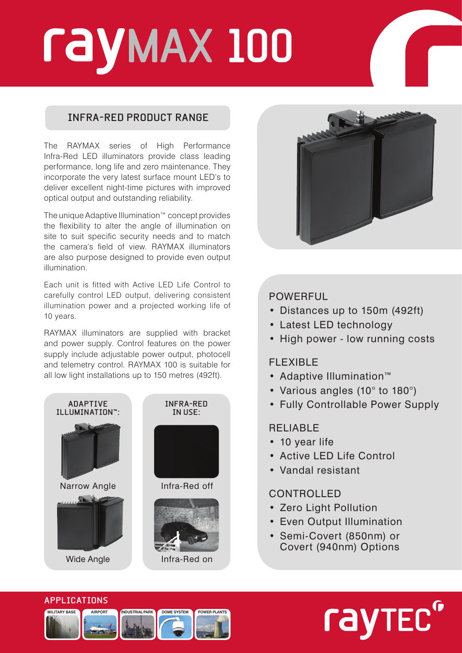# **MAX 100**

# **INFRA-RED PRODUCT RANGE**

The RAYMAX series of High Performance Infra-Red LED illuminators provide class leading performance, long life and zero maintenance. They incorporate the very latest surface mount LED's to deliver excellent night-time pictures with improved optical output and outstanding reliability.

The unique Adaptive Illumination™ concept provides the flexibility to alter the angle of illumination on site to suit specific security needs and to match the camera's field of view. RAYMAX illuminators are also purpose designed to provide even output illumination.

Each unit is fitted with Active LED Life Control to carefully control LED output, delivering consistent illumination power and a projected working life of 10 years.

RAYMAX illuminators are supplied with bracket and power supply. Control features on the power supply include adjustable power output, photocell and telemetry control. RAYMAX 100 is suitable for all low light installations up to 150 metres (492ft).





# POWERFUL

- • Distances up to 150m (492ft)
- Latest LED technology
- High power low running costs

# FLEXIBLE

- • Adaptive Illumination™
- Various angles (10° to 180°)
- • Fully Controllable Power Supply

# RELIABLE

- 10 year life
- • Active LED Life Control
- • Vandal resistant

# CONTROLLED

- Zero Light Pollution
- Even Output Illumination
- • Semi-Covert (850nm) or Covert (940nm) Options